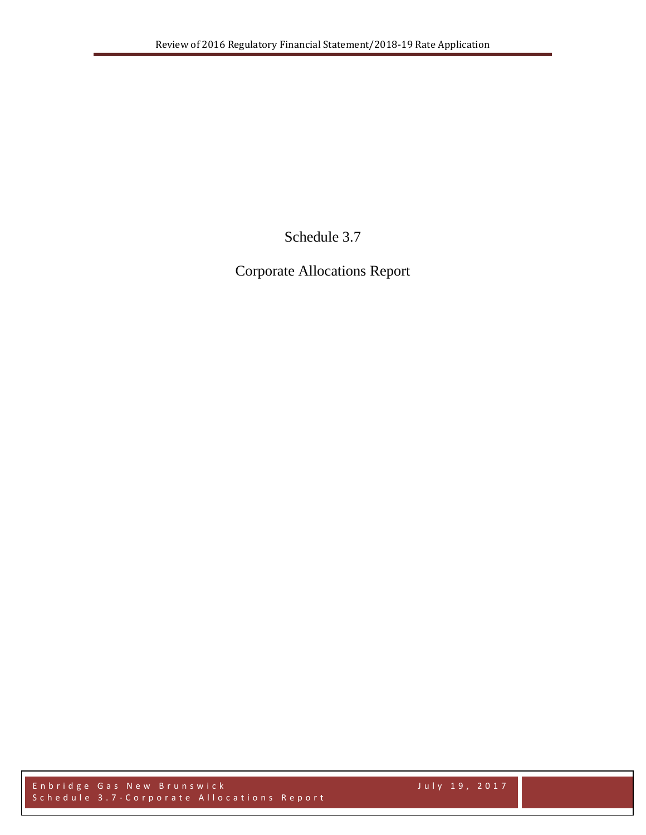Schedule 3.7

Corporate Allocations Report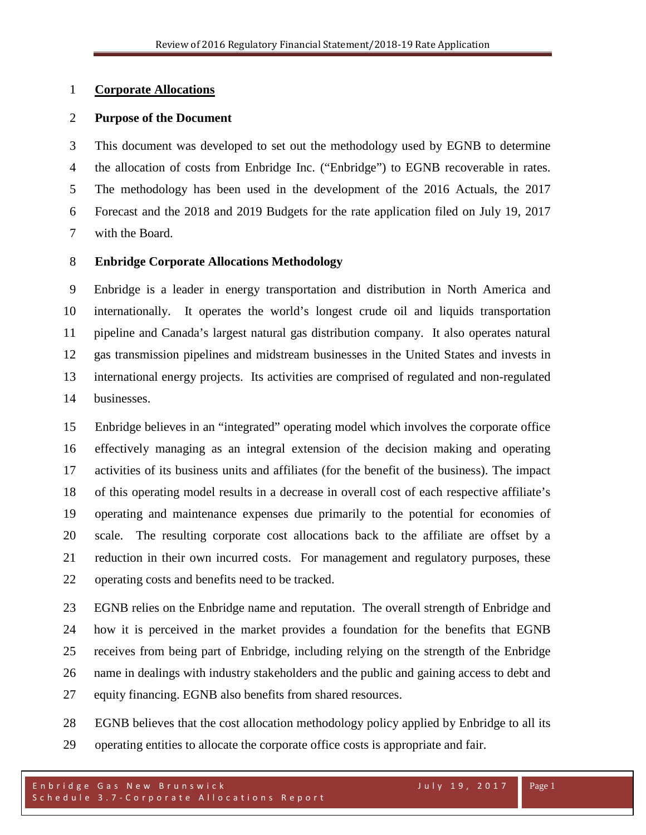# **Corporate Allocations**

# **Purpose of the Document**

 This document was developed to set out the methodology used by EGNB to determine the allocation of costs from Enbridge Inc. ("Enbridge") to EGNB recoverable in rates. The methodology has been used in the development of the 2016 Actuals, the 2017 Forecast and the 2018 and 2019 Budgets for the rate application filed on July 19, 2017 with the Board.

# **Enbridge Corporate Allocations Methodology**

 Enbridge is a leader in energy transportation and distribution in North America and internationally. It operates the world's longest crude oil and liquids transportation pipeline and Canada's largest natural gas distribution company. It also operates natural gas transmission pipelines and midstream businesses in the United States and invests in international energy projects. Its activities are comprised of regulated and non-regulated businesses.

 Enbridge believes in an "integrated" operating model which involves the corporate office effectively managing as an integral extension of the decision making and operating activities of its business units and affiliates (for the benefit of the business). The impact of this operating model results in a decrease in overall cost of each respective affiliate's operating and maintenance expenses due primarily to the potential for economies of scale. The resulting corporate cost allocations back to the affiliate are offset by a reduction in their own incurred costs. For management and regulatory purposes, these operating costs and benefits need to be tracked.

 EGNB relies on the Enbridge name and reputation. The overall strength of Enbridge and how it is perceived in the market provides a foundation for the benefits that EGNB receives from being part of Enbridge, including relying on the strength of the Enbridge name in dealings with industry stakeholders and the public and gaining access to debt and equity financing. EGNB also benefits from shared resources.

 EGNB believes that the cost allocation methodology policy applied by Enbridge to all its operating entities to allocate the corporate office costs is appropriate and fair.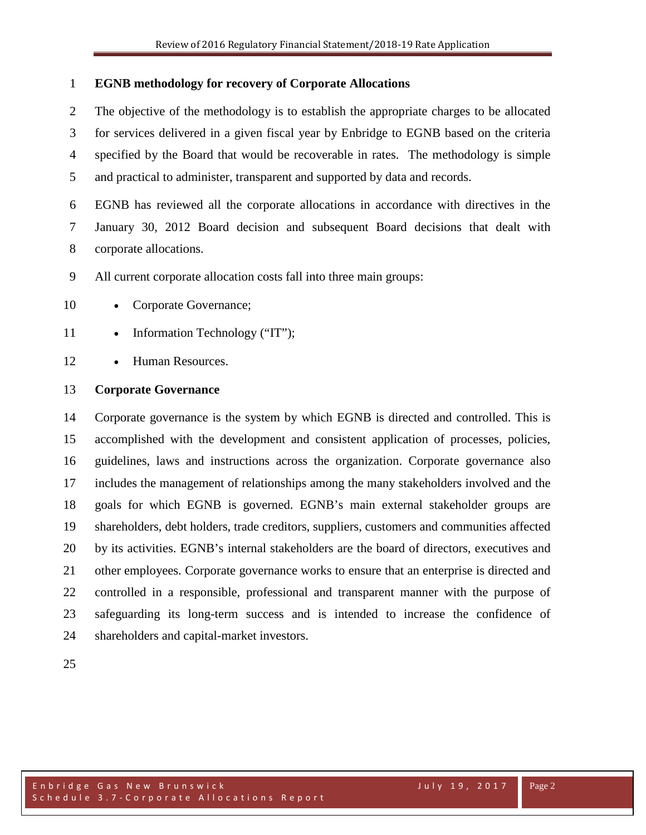# **EGNB methodology for recovery of Corporate Allocations**

 The objective of the methodology is to establish the appropriate charges to be allocated for services delivered in a given fiscal year by Enbridge to EGNB based on the criteria specified by the Board that would be recoverable in rates. The methodology is simple and practical to administer, transparent and supported by data and records.

 EGNB has reviewed all the corporate allocations in accordance with directives in the January 30, 2012 Board decision and subsequent Board decisions that dealt with corporate allocations.

All current corporate allocation costs fall into three main groups:

- 10 Corporate Governance;
- 11 Information Technology ("IT");
- Human Resources.

#### **Corporate Governance**

 Corporate governance is the system by which EGNB is directed and controlled. This is accomplished with the development and consistent application of processes, policies, guidelines, laws and instructions across the organization. Corporate [governance](http://en.wikipedia.org/wiki/Governance) also includes the management of relationships among the many [stakeholders](http://en.wikipedia.org/wiki/Stakeholder_(corporate)) involved and the goals for which EGNB is governed. EGNB's main external stakeholder groups are shareholders, debt holders, trade [creditors,](http://en.wikipedia.org/wiki/Creditor) suppliers, customers and communities affected by its activities. EGNB's internal stakeholders are the [board of directors,](http://en.wikipedia.org/wiki/Board_of_directors) [executives](http://en.wikipedia.org/wiki/Executive_(management)) and other employees. Corporate governance works to ensure that an enterprise is directed and controlled in a responsible, professional and transparent manner with the purpose of safeguarding its long-term success and is intended to increase the confidence of shareholders and capital-market investors.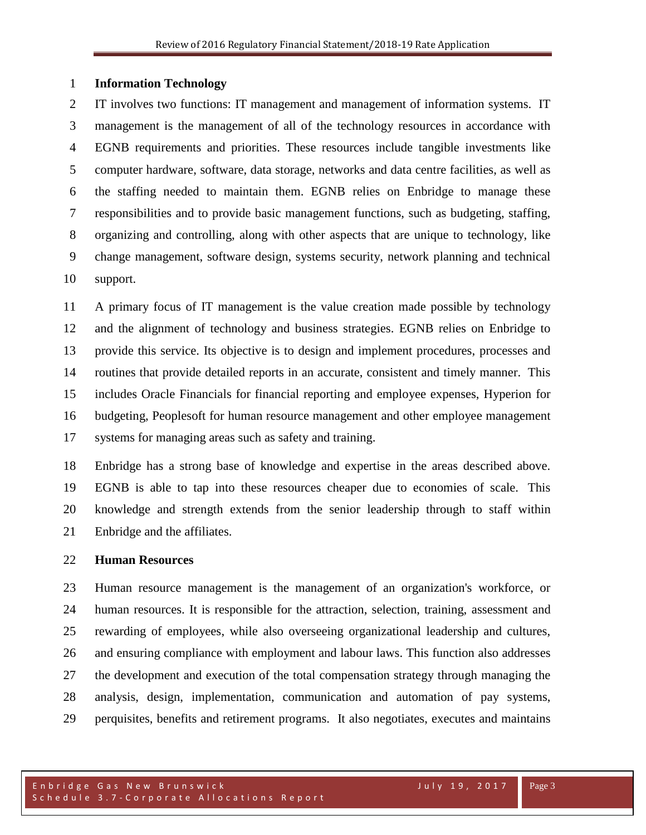#### **Information Technology**

 IT involves two functions: IT management and management of information systems. IT management is the management of all of the technology resources in accordance with EGNB requirements and priorities. These resources include tangible investments like computer hardware, software, data storage, networks and data centre facilities, as well as the staffing needed to maintain them. EGNB relies on Enbridge to manage these responsibilities and to provide basic management functions, such as [budgeting,](http://en.wikipedia.org/wiki/Budget) staffing, organizing and controlling, along with other aspects that are unique to technology, like change management, [software design,](http://en.wikipedia.org/wiki/Software_design) systems security, network planning and technical support.

 A primary focus of IT management is the value creation made possible by technology and the alignment of technology and business strategies. EGNB relies on Enbridge to provide this service. Its [objective](http://www.businessdictionary.com/definition/objective.html) is to [design](http://www.businessdictionary.com/definition/design.html) and implement [procedures,](http://www.businessdictionary.com/definition/procedure.html) processes and [routines](http://www.businessdictionary.com/definition/routine.html) that [provide](http://www.businessdictionary.com/definition/provide.html) [detailed](http://www.businessdictionary.com/definition/detailed.html) [reports](http://www.businessdictionary.com/definition/report.html) in an [accurate,](http://www.businessdictionary.com/definition/accurate.html) [consistent](http://www.businessdictionary.com/definition/consistent.html) and timely manner. This includes Oracle Financials for financial reporting and employee expenses, Hyperion for budgeting, Peoplesoft for human resource management and other employee management systems for managing areas such as safety and training.

 Enbridge has a strong base of knowledge and expertise in the areas described above. EGNB is able to tap into these resources cheaper due to economies of scale. This knowledge and strength extends from the senior leadership through to staff within Enbridge and the affiliates.

#### **Human Resources**

 Human resource management is the [management](http://en.wikipedia.org/wiki/Management) of an [organization's](http://en.wikipedia.org/wiki/Organization) [workforce,](http://en.wikipedia.org/wiki/Workforce) or [human resources.](http://en.wikipedia.org/wiki/Human_resources) It is responsible for the [attraction,](http://en.wikipedia.org/wiki/Employer_branding) [selection,](http://en.wikipedia.org/wiki/Recruitment) [training,](http://en.wikipedia.org/wiki/Training_and_development) [assessment](http://en.wikipedia.org/wiki/Performance_appraisal) and [rewarding](http://en.wikipedia.org/wiki/Remuneration) of employees, while also overseeing organizational [leadership](http://en.wikipedia.org/wiki/Leadership) and [cultures](http://en.wikipedia.org/wiki/Organizational_culture), and ensuring compliance with [employment and labour laws.](http://en.wikipedia.org/wiki/Labour_law) This function also addresses the development and execution of the total compensation strategy through managing the analysis, design, implementation, communication and automation of pay systems, perquisites, benefits and retirement programs. It also negotiates, executes and maintains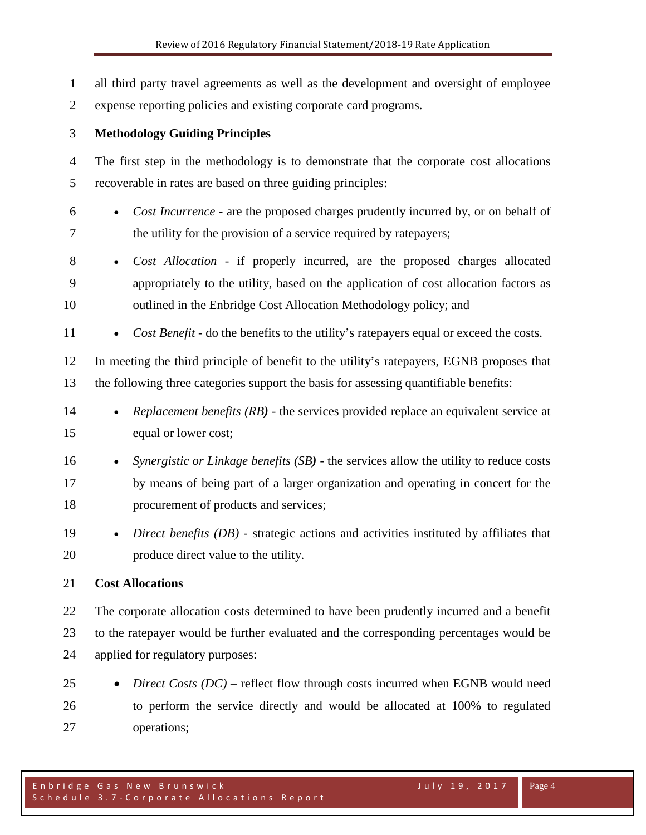all third party travel agreements as well as the development and oversight of employee expense reporting policies and existing corporate card programs. **Methodology Guiding Principles** The first step in the methodology is to demonstrate that the corporate cost allocations recoverable in rates are based on three guiding principles: • *Cost Incurrence* - are the proposed charges prudently incurred by, or on behalf of the utility for the provision of a service required by ratepayers; • *Cost Allocation* - if properly incurred, are the proposed charges allocated appropriately to the utility, based on the application of cost allocation factors as outlined in the Enbridge Cost Allocation Methodology policy; and 11 • *Cost Benefit* - do the benefits to the utility's ratepayers equal or exceed the costs. In meeting the third principle of benefit to the utility's ratepayers, EGNB proposes that the following three categories support the basis for assessing quantifiable benefits: • *Replacement benefits (RB)* - the services provided replace an equivalent service at equal or lower cost; • *Synergistic or Linkage benefits (SB)* - the services allow the utility to reduce costs by means of being part of a larger organization and operating in concert for the procurement of products and services; • *Direct benefits (DB)* - strategic actions and activities instituted by affiliates that produce direct value to the utility. **Cost Allocations** The corporate allocation costs determined to have been prudently incurred and a benefit to the ratepayer would be further evaluated and the corresponding percentages would be applied for regulatory purposes: • *Direct Costs (DC)* – reflect flow through costs incurred when EGNB would need

 to perform the service directly and would be allocated at 100% to regulated operations;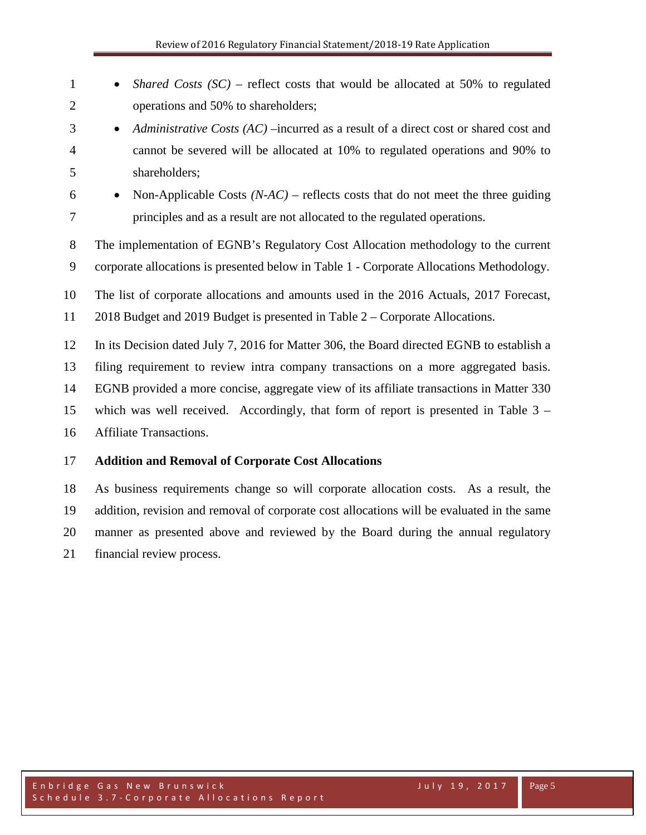| $\mathbf{1}$   | Shared Costs $(SC)$ – reflect costs that would be allocated at 50% to regulated<br>$\bullet$      |  |  |  |  |  |  |  |  |  |
|----------------|---------------------------------------------------------------------------------------------------|--|--|--|--|--|--|--|--|--|
| $\overline{2}$ | operations and 50% to shareholders;                                                               |  |  |  |  |  |  |  |  |  |
| 3              | Administrative Costs (AC) – incurred as a result of a direct cost or shared cost and<br>$\bullet$ |  |  |  |  |  |  |  |  |  |
| $\overline{4}$ | cannot be severed will be allocated at 10% to regulated operations and 90% to                     |  |  |  |  |  |  |  |  |  |
| 5              | shareholders;                                                                                     |  |  |  |  |  |  |  |  |  |
| 6              | Non-Applicable Costs $(N-AC)$ – reflects costs that do not meet the three guiding<br>$\bullet$    |  |  |  |  |  |  |  |  |  |
| $\tau$         | principles and as a result are not allocated to the regulated operations.                         |  |  |  |  |  |  |  |  |  |
| 8              | The implementation of EGNB's Regulatory Cost Allocation methodology to the current                |  |  |  |  |  |  |  |  |  |
| 9              | corporate allocations is presented below in Table 1 - Corporate Allocations Methodology.          |  |  |  |  |  |  |  |  |  |
| 10             | The list of corporate allocations and amounts used in the 2016 Actuals, 2017 Forecast,            |  |  |  |  |  |  |  |  |  |
| 11             | 2018 Budget and 2019 Budget is presented in Table 2 – Corporate Allocations.                      |  |  |  |  |  |  |  |  |  |
| 12             | In its Decision dated July 7, 2016 for Matter 306, the Board directed EGNB to establish a         |  |  |  |  |  |  |  |  |  |
| 13             | filing requirement to review intra company transactions on a more aggregated basis.               |  |  |  |  |  |  |  |  |  |
| 14             | EGNB provided a more concise, aggregate view of its affiliate transactions in Matter 330          |  |  |  |  |  |  |  |  |  |
| 15             | which was well received. Accordingly, that form of report is presented in Table $3 -$             |  |  |  |  |  |  |  |  |  |
| 16             | Affiliate Transactions.                                                                           |  |  |  |  |  |  |  |  |  |
| 17             | <b>Addition and Removal of Corporate Cost Allocations</b>                                         |  |  |  |  |  |  |  |  |  |
| 18             | As business requirements change so will corporate allocation costs. As a result, the              |  |  |  |  |  |  |  |  |  |
| 19             | addition, revision and removal of corporate cost allocations will be evaluated in the same        |  |  |  |  |  |  |  |  |  |

manner as presented above and reviewed by the Board during the annual regulatory

financial review process.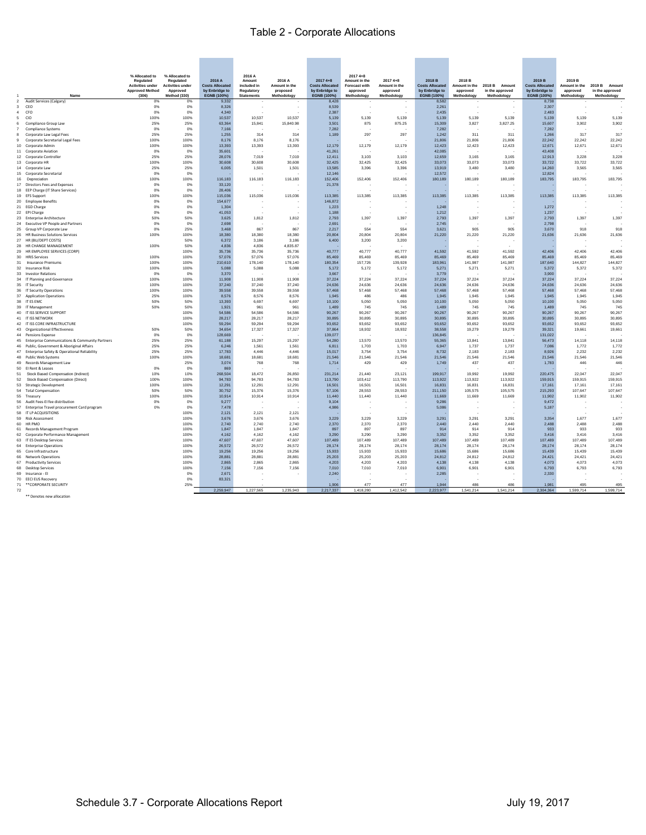# Table 2 - Corporate Allocations

|                |                                                                                                 | % Allocated to<br>Regulated                       | % Allocated to<br>Regulated         | 2016 A                                   | 2016 A<br>Amount          | 2016 A                    | $20174 + 8$                              | $20174 + 8$<br>Amount in the     | $20174 + 8$               | 2018 B                                   | 2018 B                    |                                  | 2019 B                                   | 2019 B                    |                                     |
|----------------|-------------------------------------------------------------------------------------------------|---------------------------------------------------|-------------------------------------|------------------------------------------|---------------------------|---------------------------|------------------------------------------|----------------------------------|---------------------------|------------------------------------------|---------------------------|----------------------------------|------------------------------------------|---------------------------|-------------------------------------|
|                |                                                                                                 | <b>Activities under</b><br><b>Approved Method</b> | <b>Activities under</b><br>Approved | <b>Costs Allocated</b><br>by Enbridge to | included in<br>Regulatory | Amount in the<br>proposed | <b>Costs Allocated</b><br>by Enbridge to | <b>Forecast with</b><br>approved | Amount in the<br>approved | <b>Costs Allocated</b><br>by Enbridge to | Amount in the<br>approved | 2018 B Amount<br>in the approved | <b>Costs Allocated</b><br>by Enbridge to | Amount in the<br>approved | 2019 B<br>Amount<br>in the approved |
| $\overline{2}$ | Name<br>Audit Services (Calgary)                                                                | (306)<br>0%                                       | Method (330)<br>0%                  | EGNB (100%)<br>9,332                     | <b>Statements</b>         | Methodology               | EGNB (100%)<br>8,428                     | Methodology                      | Methodology               | EGNB (100%)<br>8,582                     | Methodology               | Methodology                      | EGNB (100%)<br>8,738                     | Methodology               | Methodology                         |
| 3              | CEO                                                                                             | 0%                                                | 0%                                  | 8.326                                    | $\epsilon$                |                           | 8.539                                    | $\sim$                           | $\overline{\phantom{a}}$  | 2.261                                    |                           | $\sim$                           | 2.307                                    | ÷,                        |                                     |
| $\sim$         | CEO                                                                                             | 0%                                                | 0%                                  | 4 3 4 0                                  |                           |                           | 2.387                                    |                                  |                           | 2435                                     |                           |                                  | 2483                                     |                           |                                     |
| 5              | CIO                                                                                             | 100%                                              | 100%                                | 10.537                                   | 10,537                    | 10,537                    | 5,139                                    | 5,139                            | 5,139                     | 5,139                                    | 5,139                     | 5,139                            | 5,139                                    | 5,139                     | 5,139                               |
| 6              | Compliance Group Law                                                                            | 25%                                               | 25%                                 | 63,364                                   | 15,841                    | 15,840.98                 | 3,501                                    | 875                              | 875.25                    | 15,309                                   | 3,827                     | 3,827.25                         | 15,607                                   | 3,902                     | 3,902                               |
| $\overline{7}$ | <b>Compliance Systems</b>                                                                       | 0%                                                | 0%                                  | 7,166                                    |                           |                           | 7.282                                    |                                  |                           | 7,282                                    |                           |                                  | 7.282                                    |                           |                                     |
| 8              | Corporate Law Legal Fees                                                                        | 25%                                               | 25%                                 | 1 255                                    | 314                       | 314                       | 1.189                                    | 297                              | 297                       | 1.242                                    | 311                       | 311                              | 1.266                                    | 317                       | 317                                 |
| $\mathbf{Q}$   | Corporate Secretarial Legal Fees                                                                | 100%                                              | 100%                                | 8,176                                    | 8,176                     | 8,176                     |                                          |                                  |                           | 21,806                                   | 21,806                    | 21,806                           | 22,242                                   | 22,242                    | 22,242                              |
|                | 10 Corporate Admin<br>11 Corporate Aviation                                                     | 100%<br>0%                                        | 100%<br>0%                          | 13.393<br>35,601                         | 13,393                    | 13,393                    | 12.179<br>41,261                         | 12,179                           | 12,179                    | 12.423<br>42,085                         | 12,423                    | 12,423                           | 12.671<br>43,408                         | 12,671                    | 12,671                              |
|                | 12 Corporate Controller                                                                         | 25%                                               | 25%                                 | 28.076                                   | 7.019                     | 7.019                     | 12.411                                   | 3.103                            | 3.103                     | 12.659                                   | 3,165                     | 3.165                            | 12.913                                   | 3.228                     | 3,228                               |
|                | 13 Corporate HR                                                                                 | 100%                                              | 100%                                | 30.608                                   | 30,608                    | 30,608                    | 32 425                                   | 32 425                           | 32,425                    | 33,073                                   | 33,073                    | 33.073                           | 33,722                                   | 33,722                    | 33,722                              |
|                | 14 Corporate Law                                                                                | 25%                                               | 25%                                 | 6.005                                    | 1.501                     | 1.501                     | 13.585                                   | 3.396                            | 3,396                     | 13919                                    | 3.480                     | 3480                             | 14.260                                   | 3.565                     | 3.565                               |
|                | 15 Corporate Secretarial                                                                        | 0%                                                | 0%                                  |                                          |                           |                           | 12,146                                   |                                  |                           | 12,572                                   |                           |                                  | 12,824                                   |                           |                                     |
|                | 16 Depreciation                                                                                 | 100%                                              | 100%                                | 116,183                                  | 116,183                   | 116,183                   | 152,406                                  | 152,406                          | 152,406                   | 180.189                                  | 180,189                   | 180,189                          | 183,795                                  | 183,795                   | 183,795                             |
|                | 17 Directors Fees and Expenses                                                                  | 0%                                                | 0%                                  | 33,120                                   |                           |                           | 21,378                                   |                                  |                           |                                          |                           |                                  |                                          |                           |                                     |
|                | 18 EEP Charge (IT Share Services)                                                               | 0%                                                | 0%                                  | 28,406                                   |                           |                           |                                          |                                  |                           |                                          |                           |                                  |                                          |                           |                                     |
|                | 19 EFS Support                                                                                  | 100%                                              | 100%                                | 115,036                                  | 115,036                   | 115,036                   | 113,385                                  | 113,385                          | 113,385                   | 113,385                                  | 113,385                   | 113,385                          | 113,385                                  | 113,385                   | 113,385                             |
|                | 20 Employee Benefits                                                                            | 0%                                                | 0%                                  | 154,677                                  |                           |                           | 146.872                                  |                                  |                           |                                          |                           |                                  |                                          |                           |                                     |
|                | 21 EGD Charge                                                                                   | 0%                                                | 0%<br>0%                            | 1,304<br>41 053                          |                           |                           | 1,223                                    |                                  |                           | 1,248                                    |                           |                                  | 1,272                                    |                           |                                     |
|                | 22 EPI Charge<br>23 Enterprise Architecture                                                     | 0%<br>50%                                         | 50%                                 | 3625                                     | 1812                      | 1,812                     | 1.188<br>2.793                           | 1.397                            | 1.397                     | 1.212<br>2793                            | 1,397                     | 1,397                            | 1.237<br>2.793                           | 1,397                     | 1.397                               |
|                | 24 Executive VP People and Partners                                                             | 0%                                                | 0%                                  | 2,698                                    |                           |                           | 2,691                                    |                                  |                           | 2,745                                    |                           |                                  | 2,798                                    |                           |                                     |
|                | 25 Group VP Corporate Law                                                                       | 0%                                                | 25%                                 | 3,468                                    | 867                       | 867                       | 2,217                                    | 554                              | 554                       | 3,621                                    | 905                       | 905                              | 3,670                                    | 918                       | 918                                 |
|                | 26 HR Business Solutions Services                                                               | 100%                                              | 100%                                | 18,380                                   | 18,380                    | 18,380                    | 20,804                                   | 20,804                           | 20,804                    | 21,220                                   | 21,220                    | 21,220                           | 21.636                                   | 21,636                    | 21,636                              |
|                | 27 HR (BU/DEPT COSTS)                                                                           |                                                   | 50%                                 | 6,372                                    | 3,186                     | 3,186                     | 6,400                                    | 3,200                            | 3,200                     |                                          |                           |                                  |                                          |                           |                                     |
|                | 28 HR CHANGE MANAGEMENT                                                                         | 100%                                              | 50%                                 | 4.836                                    | 4.836                     | 4.835.87                  |                                          |                                  |                           |                                          |                           |                                  |                                          |                           |                                     |
|                | 29 HR EMPLOYEE SERVICES (CORP)                                                                  |                                                   | 100%                                | 35.736                                   | 35.736                    | 35,736                    | 40.777                                   | 40.777                           | 40,777                    | 41,592                                   | 41.592                    | 41.592                           | 42.406                                   | 42.406                    | 42,406                              |
|                | 30 HRIS Services                                                                                | 100%                                              | 100%                                | 57,076                                   | 57,076                    | 57,076                    | 85 469                                   | 85 469                           | 85 469                    | 85,469                                   | 85 469                    | 85 469                           | 85,469                                   | 85 469                    | 85 469                              |
| 31             | Insurance Premiums                                                                              | 100%                                              | 100%                                | 210,610                                  | 178,140                   | 178,140                   | 180,354                                  | 157,726                          | 139,928                   | 183,961                                  | 141,987                   | 141,987                          | 187,640                                  | 144,827                   | 144,827                             |
|                | 32 Insurance Risk                                                                               | 100%                                              | 100%                                | 5.088                                    | 5.088                     | 5,088                     | 5,172                                    | 5,172                            | 5,172                     | 5.271                                    | 5,271                     | 5,271                            | 5.372                                    | 5,372                     | 5,372                               |
|                | 33 Investor Relations                                                                           | 0%                                                | 0%                                  | 3.370                                    |                           |                           | 3.667                                    |                                  |                           | 3.779                                    |                           |                                  | 3.900                                    |                           |                                     |
|                | 34 IT Planning and Governance<br>35 IT Security                                                 | 100%<br>100%                                      | 100%<br>100%                        | 11,908<br>37,240                         | 11,908<br>37,240          | 11,908<br>37.240          | 37,224<br>24,636                         | 37,224<br>24.636                 | 37,224<br>24.636          | 37,224<br>24.636                         | 37,224<br>24.636          | 37,224<br>24.636                 | 37,224<br>24.636                         | 37,224<br>24.636          | 37,224<br>24,636                    |
|                | 36 IT Security Operations                                                                       | 100%                                              | 100%                                | 39,558                                   | 39,558                    | 39,558                    | 57,468                                   | 57.468                           | 57.468                    | 57,468                                   | 57,468                    | 57.468                           | 57,468                                   | 57,468                    | 57,468                              |
|                | 37 Application Operations                                                                       | 25%                                               | 100%                                | 8,576                                    | 8,576                     | 8,576                     | 1,945                                    | 486                              | 486                       | 1,945                                    | 1,945                     | 1,945                            | 1,945                                    | 1,945                     | 1,945                               |
|                | 38 IT ES EMC                                                                                    | 50%                                               | 50%                                 | 13.393                                   | 6.697                     | 6.697                     | 10,100                                   | 5.050                            | 5.050                     | 10.100                                   | 5.050                     | 5,050                            | 10 100                                   | 5.050                     | 5,050                               |
|                | 39 IT Management                                                                                | 50%                                               | 50%                                 | 1921                                     | 961                       | 961                       | 1.489                                    | 745                              | 745                       | 1489                                     | 745                       | 745                              | 1 489                                    | 745                       | 745                                 |
|                | 40 IT ISS SERVICE SUPPORT                                                                       |                                                   | 100%                                | 54,586                                   | 54,586                    | 54,586                    | 90,267                                   | 90,267                           | 90,267                    | 90,267                                   | 90,267                    | 90,267                           | 90,267                                   | 90,267                    | 90,267                              |
|                | 41 IT ISS NETWORK                                                                               |                                                   | 100%                                | 28,217                                   | 28,217                    | 28,217                    | 30,895                                   | 30,895                           | 30,895                    | 30,895                                   | 30,895                    | 30,895                           | 30.895                                   | 30,895                    | 30,895                              |
|                | 42 IT ISS CORE INFRASTRUCTURE                                                                   |                                                   | 100%                                | 59,294                                   | 59.294                    | 59,294                    | 93.652                                   | 93.652                           | 93,652                    | 93.652                                   | 93,652                    | 93.652                           | 93.652                                   | 93,652                    | 93,652                              |
|                | 43 Organizational Effectiveness                                                                 | 50%                                               | 50%                                 | 34 654                                   | 17,327                    | 17,327                    | 37864                                    | 18.932                           | 18.932                    | 38.558                                   | 19,279                    | 19.279                           | 39 321                                   | 19.661                    | 19,661                              |
|                | 44 Pensions Expense                                                                             | 0%                                                | 0%                                  | 128,669                                  |                           |                           | 139,077                                  |                                  |                           | 136,845                                  |                           |                                  | 131,022                                  |                           |                                     |
|                | 45 Enterprise Communications & Community Partners<br>46 Public, Government & Aboriginal Affairs | 25%<br>25%                                        | 25%<br>25%                          | 61.188<br>6,246                          | 15,297<br>1,561           | 15,297<br>1,561           | 54.280<br>6,811                          | 13,570<br>1,703                  | 13,570<br>1,703           | 55,365<br>6,947                          | 13,841<br>1,737           | 13,841<br>1,737                  | 56,473<br>7,086                          | 14.118<br>1,772           | 14.118<br>1,772                     |
|                | 47 Enterprise Safety & Operational Reliability                                                  | 25%                                               | 25%                                 | 17.783                                   | 4.446                     | 4.446                     | 15,017                                   | 3.754                            | 3.754                     | 8.732                                    | 2.183                     | 2.183                            | 8.926                                    | 2,232                     | 2,232                               |
|                | 48 Public Web Systems                                                                           | 100%                                              | 100%                                | 18.681                                   | 18,681                    | 18,681                    | 21,546                                   | 21,546                           | 21.546                    | 21,546                                   | 21,546                    | 21,546                           | 21.546                                   | 21,546                    | 21,546                              |
|                | 49 Records Management Law                                                                       |                                                   | 25%                                 | 3 0 7 4                                  | 768                       | 768                       | 1,714                                    | 429                              | 429                       | 1,749                                    | 437                       | 437                              | 1.783                                    | 446                       | 446                                 |
|                | 50 El Rent & Leases                                                                             | 0%                                                | 0%                                  | 869                                      |                           |                           |                                          |                                  |                           |                                          |                           |                                  |                                          |                           |                                     |
| 51             | Stock Based Compensation (Indirect)                                                             | 10%                                               | 10%                                 | 268,504                                  | 18,472                    | 26,850                    | 231.214                                  | 21,440                           | 23.121                    | 199,917                                  | 19,992                    | 19,992                           | 220.475                                  | 22,047                    | 22,047                              |
| 52             | Stock Based Compensation (Direct)                                                               | 100%                                              | 100%                                | 94,783                                   | 94.783                    | 94,783                    | 113,790                                  | 103,412                          | 113,790                   | 113,922                                  | 113,922                   | 113,922                          | 159,915                                  | 159,915                   | 159,915                             |
| 53             | <b>Strategic Development</b>                                                                    | 100%                                              | 100%                                | 12.291                                   | 12.291                    | 12 291                    | 16.501                                   | 16.501                           | 16,501                    | 16,831                                   | 16,831                    | 16831                            | 17,161                                   | 17 161                    | 17.161                              |
|                | 54 Total Compensation                                                                           | 50%                                               | 50%                                 | 30,752                                   | 15,376                    | 15,376                    | 57,106                                   | 28,553                           | 28,553                    | 211,150                                  | 105,575                   | 105,575                          | 215,293                                  | 107,647                   | 107,647                             |
|                | 55 Treasury                                                                                     | 100%                                              | 100%                                | 10.914                                   | 10,914                    | 10,914                    | 11,440                                   | 11,440                           | 11,440                    | 11,669                                   | 11,669                    | 11,669                           | 11,902                                   | 11,902                    | 11,902                              |
| 56             | Audit Fees-El fee distribution                                                                  | 0%<br>0%                                          | 0%<br>0%                            | 9,277<br>7.478                           |                           |                           | 9,104<br>4.986                           |                                  | $\sim$                    | 9,286                                    |                           | $\sim$                           | 9,472<br>5.187                           |                           |                                     |
|                | 57 Enterprise Travel procurement Card program<br>58 IT I P ACQUISITIONS                         |                                                   | 100%                                | 2121                                     | 2 1 2 1                   | 2 1 2 1                   |                                          |                                  |                           | 5,086                                    |                           |                                  |                                          |                           |                                     |
|                | 59 Risk Assessment                                                                              |                                                   | 100%                                | 3.676                                    | 3.676                     | 3.676                     | 3.229                                    | 3 2 2 9                          | 3.229                     | 3 2 9 1                                  | 3 2 9 1                   | 3 2 9 1                          | 3.354                                    | 1.677                     | 1,677                               |
|                | 60 HR PMO                                                                                       |                                                   | 100%                                | 2,740                                    | 2,740                     | 2,740                     | 2,370                                    | 2,370                            | 2,370                     | 2,440                                    | 2,440                     | 2,440                            | 2,488                                    | 2,488                     | 2,488                               |
| 61             | Records Management Program                                                                      |                                                   | 100%                                | 1,847                                    | 1.847                     | 1.847                     | 897                                      | 897                              | 897                       | 914                                      | 914                       | 914                              | 933                                      | 933                       | 933                                 |
|                | 62 Corporate Performance Management                                                             |                                                   | 100%                                | 4,162                                    | 4,162                     | 4,162                     | 3,290                                    | 3,290                            | 3,290                     | 3,352                                    | 3,352                     | 3,352                            | 3,416                                    | 3,416                     | 3,416                               |
|                | 63 IT ES Desktop Services                                                                       |                                                   | 100%                                | 47,607                                   | 47,607                    | 47,607                    | 107.489                                  | 107,489                          | 107.489                   | 107,489                                  | 107,489                   | 107,489                          | 107,489                                  | 107.489                   | 107,489                             |
|                | 64 Enterprise Operations                                                                        |                                                   | 100%                                | 26,572                                   | 26,572                    | 26,572                    | 28,174                                   | 28,174                           | 28,174                    | 28,174                                   | 28,174                    | 28,174                           | 28,174                                   | 28,174                    | 28,174                              |
|                | 65 Core Infrastructure                                                                          |                                                   | 100%<br>100%                        | 19,256<br>28,881                         | 19.256<br>28.881          | 19.256<br>28.881          | 15.933<br>25.203                         | 15.933<br>25 203                 | 15,933<br>25.203          | 15,686<br>24812                          | 15,686<br>24.812          | 15,686<br>24812                  | 15,439<br>24 4 21                        | 15.439<br>24 421          | 15,439<br>24 421                    |
|                | 66 Network Operations<br>67 Productivity Services                                               |                                                   | 100%                                | 2865                                     | 2865                      | 2,865                     | 4,203                                    | 4,203                            | 4,203                     | 4,138                                    | 4,138                     | 4,138                            | 4,073                                    | 4,073                     | 4,073                               |
|                | 68 Desktop Services                                                                             |                                                   | 100%                                | 7.156                                    | 7,156                     | 7,156                     | 7,010                                    | 7,010                            | 7,010                     | 6,901                                    | 6,901                     | 6,901                            | 6,793                                    | 6,793                     | 6,793                               |
|                | 69 Insurance - El                                                                               |                                                   | 0%                                  | 2.671                                    |                           |                           | 2.240                                    |                                  |                           | 2.285                                    |                           |                                  | 2.330                                    |                           |                                     |
|                | 70 EECI EUS Recovery                                                                            |                                                   | 0%                                  | 83.321                                   |                           |                           |                                          |                                  | $\sim$                    |                                          |                           | $\sim$                           |                                          |                           |                                     |
|                | 71 ** CORPORATE SECURITY                                                                        |                                                   | 25%                                 |                                          |                           |                           | 1,906                                    | 477                              | 477                       | 1,944                                    | 486                       | 486                              | 1,981                                    | 495                       | 495                                 |
| 72             |                                                                                                 |                                                   |                                     | 2,259,947                                | 1,227,565                 | 1,235,943                 | 2,217,337                                | 1,418,280                        | 1,412,542                 | 2,223,977                                | 1,541,214                 | 1,541,214                        | 2,304,364                                | 1,599,714                 | 1,599,714                           |

\*\* Denotes new allocation